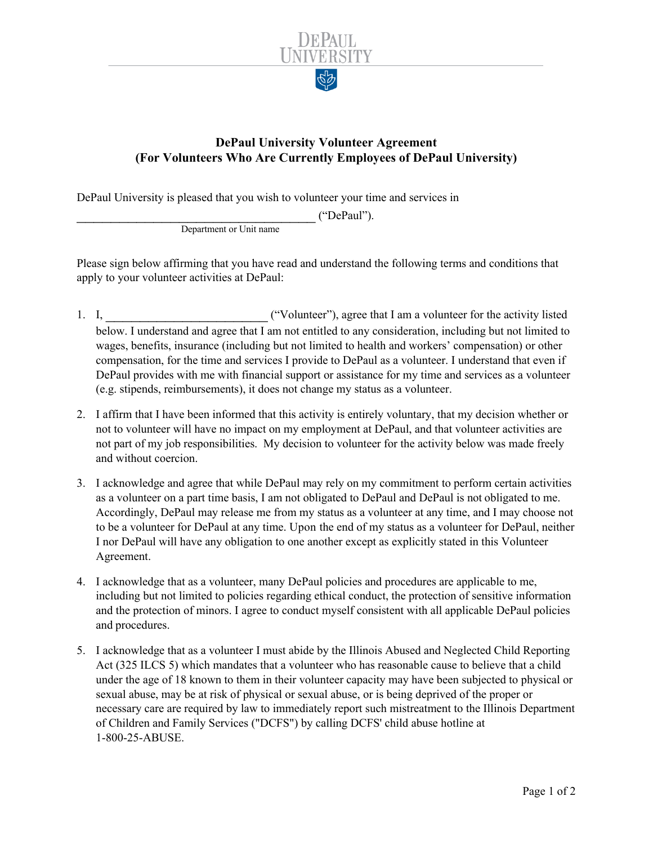

## **DePaul University Volunteer Agreement (For Volunteers Who Are Currently Employees of DePaul University)**

DePaul University is pleased that you wish to volunteer your time and services in

\_\_\_\_\_\_\_\_\_\_\_\_\_\_\_\_\_\_\_\_\_\_\_\_\_\_\_\_ ("DePaul").

Department or Unit name

Please sign below affirming that you have read and understand the following terms and conditions that apply to your volunteer activities at DePaul:

- 1. I,  $\qquad$  ("Volunteer"), agree that I am a volunteer for the activity listed below. I understand and agree that I am not entitled to any consideration, including but not limited to wages, benefits, insurance (including but not limited to health and workers' compensation) or other compensation, for the time and services I provide to DePaul as a volunteer. I understand that even if DePaul provides with me with financial support or assistance for my time and services as a volunteer (e.g. stipends, reimbursements), it does not change my status as a volunteer.
- 2. I affirm that I have been informed that this activity is entirely voluntary, that my decision whether or not to volunteer will have no impact on my employment at DePaul, and that volunteer activities are not part of my job responsibilities. My decision to volunteer for the activity below was made freely and without coercion.
- 3. I acknowledge and agree that while DePaul may rely on my commitment to perform certain activities as a volunteer on a part time basis, I am not obligated to DePaul and DePaul is not obligated to me. Accordingly, DePaul may release me from my status as a volunteer at any time, and I may choose not to be a volunteer for DePaul at any time. Upon the end of my status as a volunteer for DePaul, neither I nor DePaul will have any obligation to one another except as explicitly stated in this Volunteer Agreement.
- 4. I acknowledge that as a volunteer, many DePaul policies and procedures are applicable to me, including but not limited to policies regarding ethical conduct, the protection of sensitive information and the protection of minors. I agree to conduct myself consistent with all applicable DePaul policies and procedures.
- 5. I acknowledge that as a volunteer I must abide by the Illinois Abused and Neglected Child Reporting Act (325 ILCS 5) which mandates that a volunteer who has reasonable cause to believe that a child under the age of 18 known to them in their volunteer capacity may have been subjected to physical or sexual abuse, may be at risk of physical or sexual abuse, or is being deprived of the proper or necessary care are required by law to immediately report such mistreatment to the Illinois Department of Children and Family Services ("DCFS") by calling DCFS' child abuse hotline at 1-800-25-ABUSE.